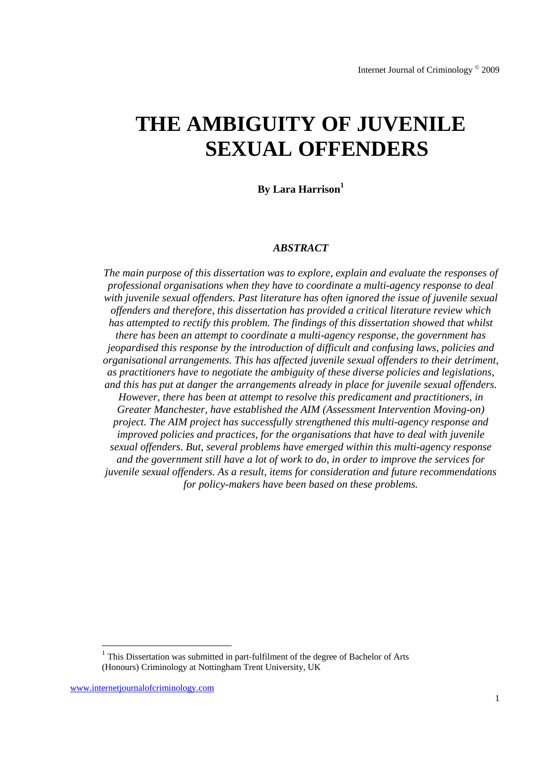# **THE AMBIGUITY OF JUVENILE SEXUAL OFFENDERS**

## **By Lara Harrison**

#### *ABSTRACT*

*The main purpose of this dissertation was to explore, explain and evaluate the responses of professional organisations when they have to coordinate a multi-agency response to deal with juvenile sexual offenders. Past literature has often ignored the issue of juvenile sexual offenders and therefore, this dissertation has provided a critical literature review which has attempted to rectify this problem. The findings of this dissertation showed that whilst there has been an attempt to coordinate a multi-agency response, the government has jeopardised this response by the introduction of difficult and confusing laws, policies and organisational arrangements. This has affected juvenile sexual offenders to their detriment, as practitioners have to negotiate the ambiguity of these diverse policies and legislations, and this has put at danger the arrangements already in place for juvenile sexual offenders. However, there has been at attempt to resolve this predicament and practitioners, in Greater Manchester, have established the AIM (Assessment Intervention Moving-on) project. The AIM project has successfully strengthened this multi-agency response and improved policies and practices, for the organisations that have to deal with juvenile sexual offenders. But, several problems have emerged within this multi-agency response and the government still have a lot of work to do, in order to improve the services for juvenile sexual offenders. As a result, items for consideration and future recommendations for policy-makers have been based on these problems.* 

-

 $1$  This Dissertation was submitted in part-fulfilment of the degree of Bachelor of Arts (Honours) Criminology at Nottingham Trent University, UK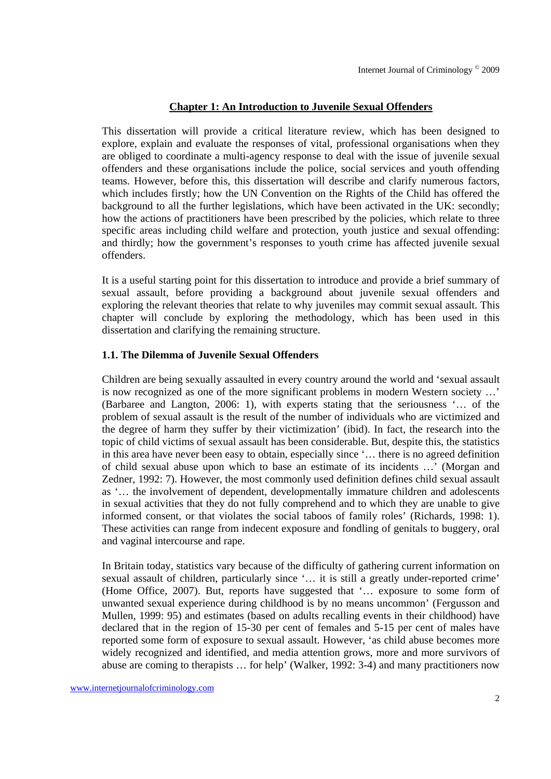# **Chapter 1: An Introduction to Juvenile Sexual Offenders**

This dissertation will provide a critical literature review, which has been designed to explore, explain and evaluate the responses of vital, professional organisations when they are obliged to coordinate a multi-agency response to deal with the issue of juvenile sexual offenders and these organisations include the police, social services and youth offending teams. However, before this, this dissertation will describe and clarify numerous factors, which includes firstly; how the UN Convention on the Rights of the Child has offered the background to all the further legislations, which have been activated in the UK: secondly; how the actions of practitioners have been prescribed by the policies, which relate to three specific areas including child welfare and protection, youth justice and sexual offending: and thirdly; how the government's responses to youth crime has affected juvenile sexual offenders.

It is a useful starting point for this dissertation to introduce and provide a brief summary of sexual assault, before providing a background about juvenile sexual offenders and exploring the relevant theories that relate to why juveniles may commit sexual assault. This chapter will conclude by exploring the methodology, which has been used in this dissertation and clarifying the remaining structure.

# **1.1. The Dilemma of Juvenile Sexual Offenders**

Children are being sexually assaulted in every country around the world and 'sexual assault is now recognized as one of the more significant problems in modern Western society …' (Barbaree and Langton, 2006: 1), with experts stating that the seriousness '… of the problem of sexual assault is the result of the number of individuals who are victimized and the degree of harm they suffer by their victimization' (ibid). In fact, the research into the topic of child victims of sexual assault has been considerable. But, despite this, the statistics in this area have never been easy to obtain, especially since '… there is no agreed definition of child sexual abuse upon which to base an estimate of its incidents …' (Morgan and Zedner, 1992: 7). However, the most commonly used definition defines child sexual assault as '… the involvement of dependent, developmentally immature children and adolescents in sexual activities that they do not fully comprehend and to which they are unable to give informed consent, or that violates the social taboos of family roles' (Richards, 1998: 1). These activities can range from indecent exposure and fondling of genitals to buggery, oral and vaginal intercourse and rape.

In Britain today, statistics vary because of the difficulty of gathering current information on sexual assault of children, particularly since '… it is still a greatly under-reported crime' (Home Office, 2007). But, reports have suggested that '… exposure to some form of unwanted sexual experience during childhood is by no means uncommon' (Fergusson and Mullen, 1999: 95) and estimates (based on adults recalling events in their childhood) have declared that in the region of 15-30 per cent of females and 5-15 per cent of males have reported some form of exposure to sexual assault. However, 'as child abuse becomes more widely recognized and identified, and media attention grows, more and more survivors of abuse are coming to therapists … for help' (Walker, 1992: 3-4) and many practitioners now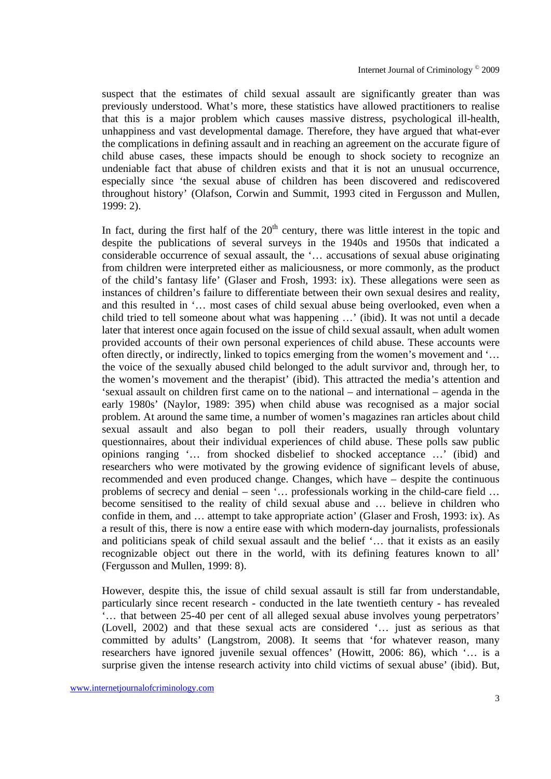suspect that the estimates of child sexual assault are significantly greater than was previously understood. What's more, these statistics have allowed practitioners to realise that this is a major problem which causes massive distress, psychological ill-health, unhappiness and vast developmental damage. Therefore, they have argued that what-ever the complications in defining assault and in reaching an agreement on the accurate figure of child abuse cases, these impacts should be enough to shock society to recognize an undeniable fact that abuse of children exists and that it is not an unusual occurrence, especially since 'the sexual abuse of children has been discovered and rediscovered throughout history' (Olafson, Corwin and Summit, 1993 cited in Fergusson and Mullen, 1999: 2).

In fact, during the first half of the  $20<sup>th</sup>$  century, there was little interest in the topic and despite the publications of several surveys in the 1940s and 1950s that indicated a considerable occurrence of sexual assault, the '… accusations of sexual abuse originating from children were interpreted either as maliciousness, or more commonly, as the product of the child's fantasy life' (Glaser and Frosh, 1993: ix). These allegations were seen as instances of children's failure to differentiate between their own sexual desires and reality, and this resulted in '… most cases of child sexual abuse being overlooked, even when a child tried to tell someone about what was happening …' (ibid). It was not until a decade later that interest once again focused on the issue of child sexual assault, when adult women provided accounts of their own personal experiences of child abuse. These accounts were often directly, or indirectly, linked to topics emerging from the women's movement and '… the voice of the sexually abused child belonged to the adult survivor and, through her, to the women's movement and the therapist' (ibid). This attracted the media's attention and 'sexual assault on children first came on to the national – and international – agenda in the early 1980s' (Naylor, 1989: 395) when child abuse was recognised as a major social problem. At around the same time, a number of women's magazines ran articles about child sexual assault and also began to poll their readers, usually through voluntary questionnaires, about their individual experiences of child abuse. These polls saw public opinions ranging '… from shocked disbelief to shocked acceptance …' (ibid) and researchers who were motivated by the growing evidence of significant levels of abuse, recommended and even produced change. Changes, which have – despite the continuous problems of secrecy and denial – seen '… professionals working in the child-care field … become sensitised to the reality of child sexual abuse and … believe in children who confide in them, and … attempt to take appropriate action' (Glaser and Frosh, 1993: ix). As a result of this, there is now a entire ease with which modern-day journalists, professionals and politicians speak of child sexual assault and the belief '… that it exists as an easily recognizable object out there in the world, with its defining features known to all' (Fergusson and Mullen, 1999: 8).

However, despite this, the issue of child sexual assault is still far from understandable, particularly since recent research - conducted in the late twentieth century - has revealed '… that between 25-40 per cent of all alleged sexual abuse involves young perpetrators' (Lovell, 2002) and that these sexual acts are considered '… just as serious as that committed by adults' (Langstrom, 2008). It seems that 'for whatever reason, many researchers have ignored juvenile sexual offences' (Howitt, 2006: 86), which '… is a surprise given the intense research activity into child victims of sexual abuse' (ibid). But,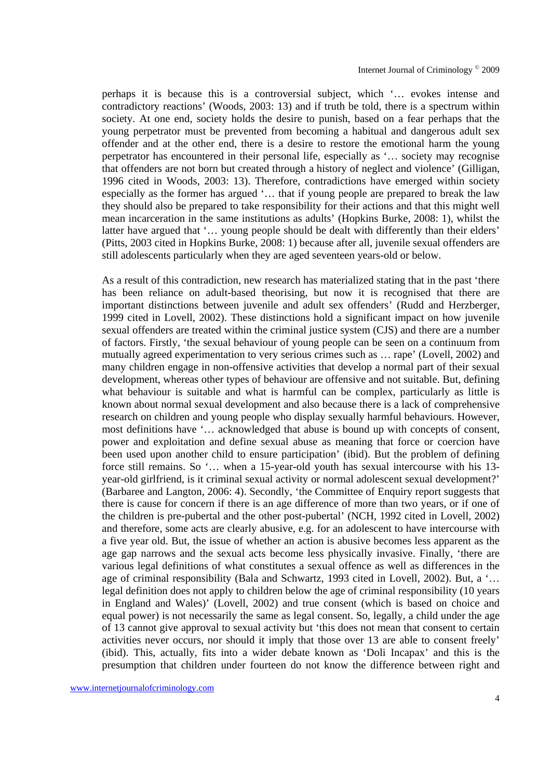perhaps it is because this is a controversial subject, which '… evokes intense and contradictory reactions' (Woods, 2003: 13) and if truth be told, there is a spectrum within society. At one end, society holds the desire to punish, based on a fear perhaps that the young perpetrator must be prevented from becoming a habitual and dangerous adult sex offender and at the other end, there is a desire to restore the emotional harm the young perpetrator has encountered in their personal life, especially as '… society may recognise that offenders are not born but created through a history of neglect and violence' (Gilligan, 1996 cited in Woods, 2003: 13). Therefore, contradictions have emerged within society especially as the former has argued '… that if young people are prepared to break the law they should also be prepared to take responsibility for their actions and that this might well mean incarceration in the same institutions as adults' (Hopkins Burke, 2008: 1), whilst the latter have argued that '… young people should be dealt with differently than their elders' (Pitts, 2003 cited in Hopkins Burke, 2008: 1) because after all, juvenile sexual offenders are still adolescents particularly when they are aged seventeen years-old or below.

As a result of this contradiction, new research has materialized stating that in the past 'there has been reliance on adult-based theorising, but now it is recognised that there are important distinctions between juvenile and adult sex offenders' (Rudd and Herzberger, 1999 cited in Lovell, 2002). These distinctions hold a significant impact on how juvenile sexual offenders are treated within the criminal justice system (CJS) and there are a number of factors. Firstly, 'the sexual behaviour of young people can be seen on a continuum from mutually agreed experimentation to very serious crimes such as … rape' (Lovell, 2002) and many children engage in non-offensive activities that develop a normal part of their sexual development, whereas other types of behaviour are offensive and not suitable. But, defining what behaviour is suitable and what is harmful can be complex, particularly as little is known about normal sexual development and also because there is a lack of comprehensive research on children and young people who display sexually harmful behaviours. However, most definitions have '… acknowledged that abuse is bound up with concepts of consent, power and exploitation and define sexual abuse as meaning that force or coercion have been used upon another child to ensure participation' (ibid). But the problem of defining force still remains. So '… when a 15-year-old youth has sexual intercourse with his 13 year-old girlfriend, is it criminal sexual activity or normal adolescent sexual development?' (Barbaree and Langton, 2006: 4). Secondly, 'the Committee of Enquiry report suggests that there is cause for concern if there is an age difference of more than two years, or if one of the children is pre-pubertal and the other post-pubertal' (NCH, 1992 cited in Lovell, 2002) and therefore, some acts are clearly abusive, e.g. for an adolescent to have intercourse with a five year old. But, the issue of whether an action is abusive becomes less apparent as the age gap narrows and the sexual acts become less physically invasive. Finally, 'there are various legal definitions of what constitutes a sexual offence as well as differences in the age of criminal responsibility (Bala and Schwartz, 1993 cited in Lovell, 2002). But, a '… legal definition does not apply to children below the age of criminal responsibility (10 years in England and Wales)' (Lovell, 2002) and true consent (which is based on choice and equal power) is not necessarily the same as legal consent. So, legally, a child under the age of 13 cannot give approval to sexual activity but 'this does not mean that consent to certain activities never occurs, nor should it imply that those over 13 are able to consent freely' (ibid). This, actually, fits into a wider debate known as 'Doli Incapax' and this is the presumption that children under fourteen do not know the difference between right and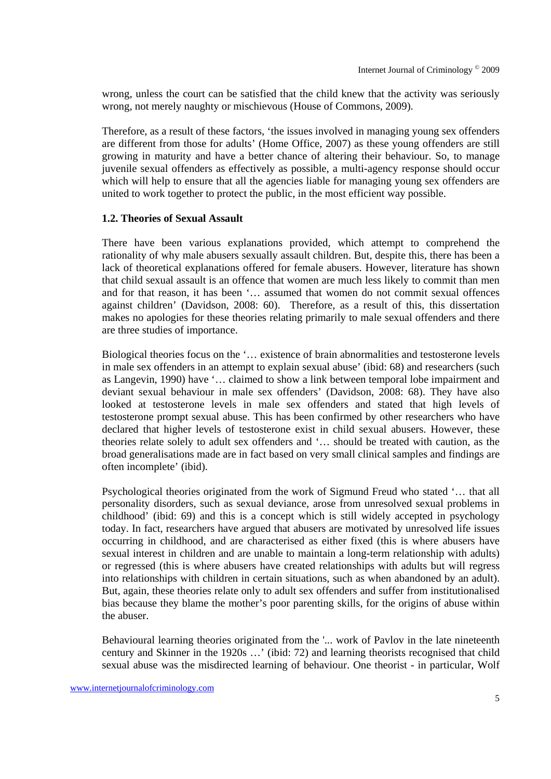wrong, unless the court can be satisfied that the child knew that the activity was seriously wrong, not merely naughty or mischievous (House of Commons, 2009).

Therefore, as a result of these factors, 'the issues involved in managing young sex offenders are different from those for adults' (Home Office, 2007) as these young offenders are still growing in maturity and have a better chance of altering their behaviour. So, to manage juvenile sexual offenders as effectively as possible, a multi-agency response should occur which will help to ensure that all the agencies liable for managing young sex offenders are united to work together to protect the public, in the most efficient way possible.

## **1.2. Theories of Sexual Assault**

There have been various explanations provided, which attempt to comprehend the rationality of why male abusers sexually assault children. But, despite this, there has been a lack of theoretical explanations offered for female abusers. However, literature has shown that child sexual assault is an offence that women are much less likely to commit than men and for that reason, it has been '… assumed that women do not commit sexual offences against children' (Davidson, 2008: 60). Therefore, as a result of this, this dissertation makes no apologies for these theories relating primarily to male sexual offenders and there are three studies of importance.

Biological theories focus on the '… existence of brain abnormalities and testosterone levels in male sex offenders in an attempt to explain sexual abuse' (ibid: 68) and researchers (such as Langevin, 1990) have '… claimed to show a link between temporal lobe impairment and deviant sexual behaviour in male sex offenders' (Davidson, 2008: 68). They have also looked at testosterone levels in male sex offenders and stated that high levels of testosterone prompt sexual abuse. This has been confirmed by other researchers who have declared that higher levels of testosterone exist in child sexual abusers. However, these theories relate solely to adult sex offenders and '… should be treated with caution, as the broad generalisations made are in fact based on very small clinical samples and findings are often incomplete' (ibid).

Psychological theories originated from the work of Sigmund Freud who stated '… that all personality disorders, such as sexual deviance, arose from unresolved sexual problems in childhood' (ibid: 69) and this is a concept which is still widely accepted in psychology today. In fact, researchers have argued that abusers are motivated by unresolved life issues occurring in childhood, and are characterised as either fixed (this is where abusers have sexual interest in children and are unable to maintain a long-term relationship with adults) or regressed (this is where abusers have created relationships with adults but will regress into relationships with children in certain situations, such as when abandoned by an adult). But, again, these theories relate only to adult sex offenders and suffer from institutionalised bias because they blame the mother's poor parenting skills, for the origins of abuse within the abuser.

Behavioural learning theories originated from the '... work of Pavlov in the late nineteenth century and Skinner in the 1920s …' (ibid: 72) and learning theorists recognised that child sexual abuse was the misdirected learning of behaviour. One theorist - in particular, Wolf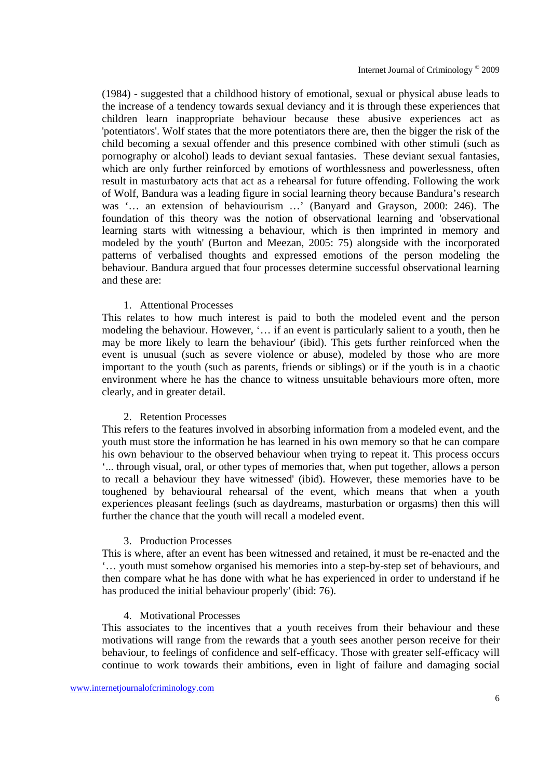(1984) - suggested that a childhood history of emotional, sexual or physical abuse leads to the increase of a tendency towards sexual deviancy and it is through these experiences that children learn inappropriate behaviour because these abusive experiences act as 'potentiators'. Wolf states that the more potentiators there are, then the bigger the risk of the child becoming a sexual offender and this presence combined with other stimuli (such as pornography or alcohol) leads to deviant sexual fantasies. These deviant sexual fantasies, which are only further reinforced by emotions of worthlessness and powerlessness, often result in masturbatory acts that act as a rehearsal for future offending. Following the work of Wolf, Bandura was a leading figure in social learning theory because Bandura's research was '… an extension of behaviourism …' (Banyard and Grayson, 2000: 246). The foundation of this theory was the notion of observational learning and 'observational learning starts with witnessing a behaviour, which is then imprinted in memory and modeled by the youth' (Burton and Meezan, 2005: 75) alongside with the incorporated patterns of verbalised thoughts and expressed emotions of the person modeling the behaviour. Bandura argued that four processes determine successful observational learning and these are:

## 1. Attentional Processes

This relates to how much interest is paid to both the modeled event and the person modeling the behaviour. However, '… if an event is particularly salient to a youth, then he may be more likely to learn the behaviour' (ibid). This gets further reinforced when the event is unusual (such as severe violence or abuse), modeled by those who are more important to the youth (such as parents, friends or siblings) or if the youth is in a chaotic environment where he has the chance to witness unsuitable behaviours more often, more clearly, and in greater detail.

#### 2. Retention Processes

This refers to the features involved in absorbing information from a modeled event, and the youth must store the information he has learned in his own memory so that he can compare his own behaviour to the observed behaviour when trying to repeat it. This process occurs '... through visual, oral, or other types of memories that, when put together, allows a person to recall a behaviour they have witnessed' (ibid). However, these memories have to be toughened by behavioural rehearsal of the event, which means that when a youth experiences pleasant feelings (such as daydreams, masturbation or orgasms) then this will further the chance that the youth will recall a modeled event.

#### 3. Production Processes

This is where, after an event has been witnessed and retained, it must be re-enacted and the '… youth must somehow organised his memories into a step-by-step set of behaviours, and then compare what he has done with what he has experienced in order to understand if he has produced the initial behaviour properly' (ibid: 76).

#### 4. Motivational Processes

This associates to the incentives that a youth receives from their behaviour and these motivations will range from the rewards that a youth sees another person receive for their behaviour, to feelings of confidence and self-efficacy. Those with greater self-efficacy will continue to work towards their ambitions, even in light of failure and damaging social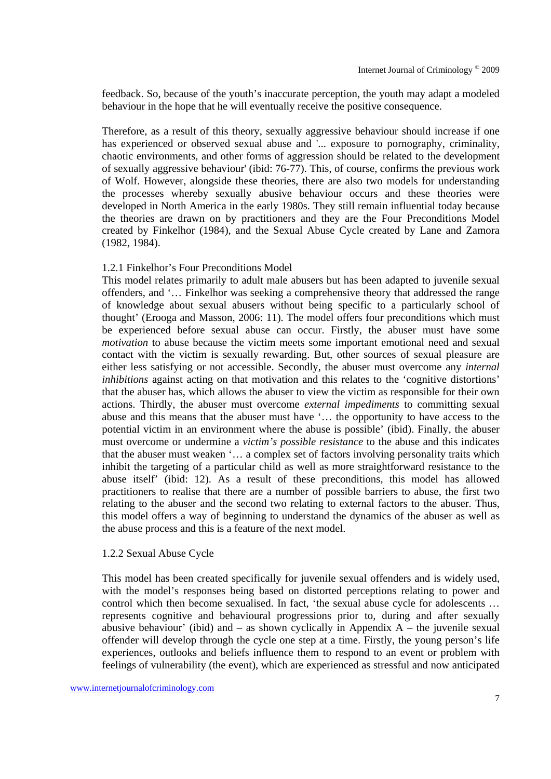feedback. So, because of the youth's inaccurate perception, the youth may adapt a modeled behaviour in the hope that he will eventually receive the positive consequence.

Therefore, as a result of this theory, sexually aggressive behaviour should increase if one has experienced or observed sexual abuse and '... exposure to pornography, criminality, chaotic environments, and other forms of aggression should be related to the development of sexually aggressive behaviour' (ibid: 76-77). This, of course, confirms the previous work of Wolf. However, alongside these theories, there are also two models for understanding the processes whereby sexually abusive behaviour occurs and these theories were developed in North America in the early 1980s. They still remain influential today because the theories are drawn on by practitioners and they are the Four Preconditions Model created by Finkelhor (1984), and the Sexual Abuse Cycle created by Lane and Zamora (1982, 1984).

## 1.2.1 Finkelhor's Four Preconditions Model

This model relates primarily to adult male abusers but has been adapted to juvenile sexual offenders, and '… Finkelhor was seeking a comprehensive theory that addressed the range of knowledge about sexual abusers without being specific to a particularly school of thought' (Erooga and Masson, 2006: 11). The model offers four preconditions which must be experienced before sexual abuse can occur. Firstly, the abuser must have some *motivation* to abuse because the victim meets some important emotional need and sexual contact with the victim is sexually rewarding. But, other sources of sexual pleasure are either less satisfying or not accessible. Secondly, the abuser must overcome any *internal inhibitions* against acting on that motivation and this relates to the 'cognitive distortions' that the abuser has, which allows the abuser to view the victim as responsible for their own actions. Thirdly, the abuser must overcome *external impediments* to committing sexual abuse and this means that the abuser must have '… the opportunity to have access to the potential victim in an environment where the abuse is possible' (ibid). Finally, the abuser must overcome or undermine a *victim's possible resistance* to the abuse and this indicates that the abuser must weaken '… a complex set of factors involving personality traits which inhibit the targeting of a particular child as well as more straightforward resistance to the abuse itself' (ibid: 12). As a result of these preconditions, this model has allowed practitioners to realise that there are a number of possible barriers to abuse, the first two relating to the abuser and the second two relating to external factors to the abuser. Thus, this model offers a way of beginning to understand the dynamics of the abuser as well as the abuse process and this is a feature of the next model.

#### 1.2.2 Sexual Abuse Cycle

This model has been created specifically for juvenile sexual offenders and is widely used, with the model's responses being based on distorted perceptions relating to power and control which then become sexualised. In fact, 'the sexual abuse cycle for adolescents … represents cognitive and behavioural progressions prior to, during and after sexually abusive behaviour' (ibid) and  $-$  as shown cyclically in Appendix  $A$  – the juvenile sexual offender will develop through the cycle one step at a time. Firstly, the young person's life experiences, outlooks and beliefs influence them to respond to an event or problem with feelings of vulnerability (the event), which are experienced as stressful and now anticipated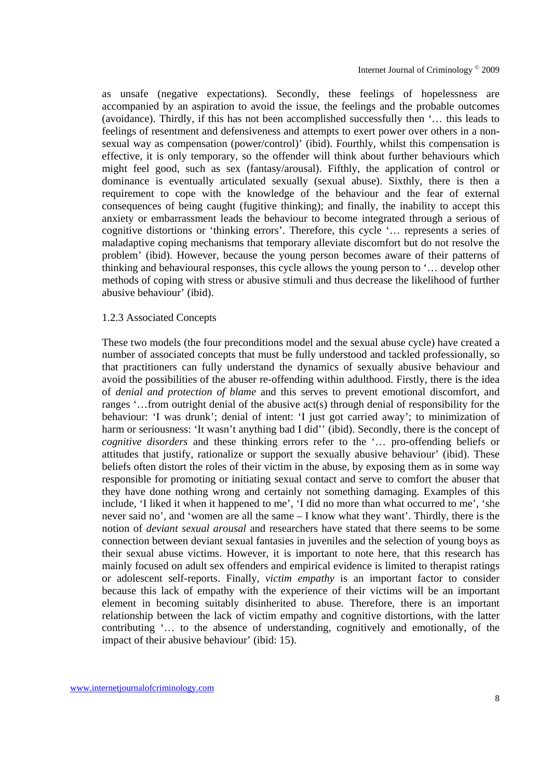as unsafe (negative expectations). Secondly, these feelings of hopelessness are accompanied by an aspiration to avoid the issue, the feelings and the probable outcomes (avoidance). Thirdly, if this has not been accomplished successfully then '… this leads to feelings of resentment and defensiveness and attempts to exert power over others in a nonsexual way as compensation (power/control)' (ibid). Fourthly, whilst this compensation is effective, it is only temporary, so the offender will think about further behaviours which might feel good, such as sex (fantasy/arousal). Fifthly, the application of control or dominance is eventually articulated sexually (sexual abuse). Sixthly, there is then a requirement to cope with the knowledge of the behaviour and the fear of external consequences of being caught (fugitive thinking); and finally, the inability to accept this anxiety or embarrassment leads the behaviour to become integrated through a serious of cognitive distortions or 'thinking errors'. Therefore, this cycle '… represents a series of maladaptive coping mechanisms that temporary alleviate discomfort but do not resolve the problem' (ibid). However, because the young person becomes aware of their patterns of thinking and behavioural responses, this cycle allows the young person to '… develop other methods of coping with stress or abusive stimuli and thus decrease the likelihood of further abusive behaviour' (ibid).

#### 1.2.3 Associated Concepts

These two models (the four preconditions model and the sexual abuse cycle) have created a number of associated concepts that must be fully understood and tackled professionally, so that practitioners can fully understand the dynamics of sexually abusive behaviour and avoid the possibilities of the abuser re-offending within adulthood. Firstly, there is the idea of *denial and protection of blame* and this serves to prevent emotional discomfort, and ranges '…from outright denial of the abusive act(s) through denial of responsibility for the behaviour: 'I was drunk'; denial of intent: 'I just got carried away'; to minimization of harm or seriousness: 'It wasn't anything bad I did'' (ibid). Secondly, there is the concept of *cognitive disorders* and these thinking errors refer to the '… pro-offending beliefs or attitudes that justify, rationalize or support the sexually abusive behaviour' (ibid). These beliefs often distort the roles of their victim in the abuse, by exposing them as in some way responsible for promoting or initiating sexual contact and serve to comfort the abuser that they have done nothing wrong and certainly not something damaging. Examples of this include, 'I liked it when it happened to me', 'I did no more than what occurred to me', 'she never said no', and 'women are all the same – I know what they want'. Thirdly, there is the notion of *deviant sexual arousal* and researchers have stated that there seems to be some connection between deviant sexual fantasies in juveniles and the selection of young boys as their sexual abuse victims. However, it is important to note here, that this research has mainly focused on adult sex offenders and empirical evidence is limited to therapist ratings or adolescent self-reports. Finally, *victim empathy* is an important factor to consider because this lack of empathy with the experience of their victims will be an important element in becoming suitably disinherited to abuse. Therefore, there is an important relationship between the lack of victim empathy and cognitive distortions, with the latter contributing '… to the absence of understanding, cognitively and emotionally, of the impact of their abusive behaviour' (ibid: 15).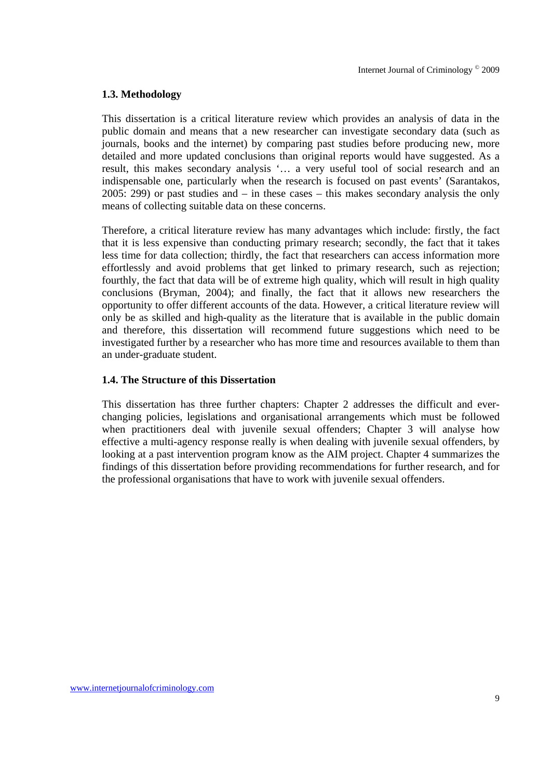## **1.3. Methodology**

This dissertation is a critical literature review which provides an analysis of data in the public domain and means that a new researcher can investigate secondary data (such as journals, books and the internet) by comparing past studies before producing new, more detailed and more updated conclusions than original reports would have suggested. As a result, this makes secondary analysis '… a very useful tool of social research and an indispensable one, particularly when the research is focused on past events' (Sarantakos, 2005: 299) or past studies and – in these cases – this makes secondary analysis the only means of collecting suitable data on these concerns.

Therefore, a critical literature review has many advantages which include: firstly, the fact that it is less expensive than conducting primary research; secondly, the fact that it takes less time for data collection; thirdly, the fact that researchers can access information more effortlessly and avoid problems that get linked to primary research, such as rejection; fourthly, the fact that data will be of extreme high quality, which will result in high quality conclusions (Bryman, 2004); and finally, the fact that it allows new researchers the opportunity to offer different accounts of the data. However, a critical literature review will only be as skilled and high-quality as the literature that is available in the public domain and therefore, this dissertation will recommend future suggestions which need to be investigated further by a researcher who has more time and resources available to them than an under-graduate student.

## **1.4. The Structure of this Dissertation**

This dissertation has three further chapters: Chapter 2 addresses the difficult and everchanging policies, legislations and organisational arrangements which must be followed when practitioners deal with juvenile sexual offenders; Chapter 3 will analyse how effective a multi-agency response really is when dealing with juvenile sexual offenders, by looking at a past intervention program know as the AIM project. Chapter 4 summarizes the findings of this dissertation before providing recommendations for further research, and for the professional organisations that have to work with juvenile sexual offenders.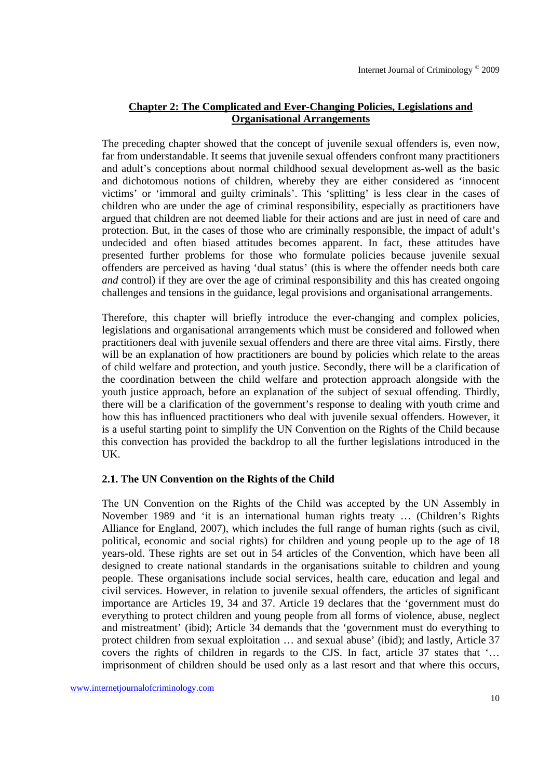# **Chapter 2: The Complicated and Ever-Changing Policies, Legislations and Organisational Arrangements**

The preceding chapter showed that the concept of juvenile sexual offenders is, even now, far from understandable. It seems that juvenile sexual offenders confront many practitioners and adult's conceptions about normal childhood sexual development as-well as the basic and dichotomous notions of children, whereby they are either considered as 'innocent victims' or 'immoral and guilty criminals'. This 'splitting' is less clear in the cases of children who are under the age of criminal responsibility, especially as practitioners have argued that children are not deemed liable for their actions and are just in need of care and protection. But, in the cases of those who are criminally responsible, the impact of adult's undecided and often biased attitudes becomes apparent. In fact, these attitudes have presented further problems for those who formulate policies because juvenile sexual offenders are perceived as having 'dual status' (this is where the offender needs both care *and* control) if they are over the age of criminal responsibility and this has created ongoing challenges and tensions in the guidance, legal provisions and organisational arrangements.

Therefore, this chapter will briefly introduce the ever-changing and complex policies, legislations and organisational arrangements which must be considered and followed when practitioners deal with juvenile sexual offenders and there are three vital aims. Firstly, there will be an explanation of how practitioners are bound by policies which relate to the areas of child welfare and protection, and youth justice. Secondly, there will be a clarification of the coordination between the child welfare and protection approach alongside with the youth justice approach, before an explanation of the subject of sexual offending. Thirdly, there will be a clarification of the government's response to dealing with youth crime and how this has influenced practitioners who deal with juvenile sexual offenders. However, it is a useful starting point to simplify the UN Convention on the Rights of the Child because this convection has provided the backdrop to all the further legislations introduced in the UK.

## **2.1. The UN Convention on the Rights of the Child**

The UN Convention on the Rights of the Child was accepted by the UN Assembly in November 1989 and 'it is an international human rights treaty … (Children's Rights Alliance for England, 2007), which includes the full range of human rights (such as civil, political, economic and social rights) for children and young people up to the age of 18 years-old. These rights are set out in 54 articles of the Convention, which have been all designed to create national standards in the organisations suitable to children and young people. These organisations include social services, health care, education and legal and civil services. However, in relation to juvenile sexual offenders, the articles of significant importance are Articles 19, 34 and 37. Article 19 declares that the 'government must do everything to protect children and young people from all forms of violence, abuse, neglect and mistreatment' (ibid); Article 34 demands that the 'government must do everything to protect children from sexual exploitation … and sexual abuse' (ibid); and lastly, Article 37 covers the rights of children in regards to the CJS. In fact, article 37 states that '… imprisonment of children should be used only as a last resort and that where this occurs,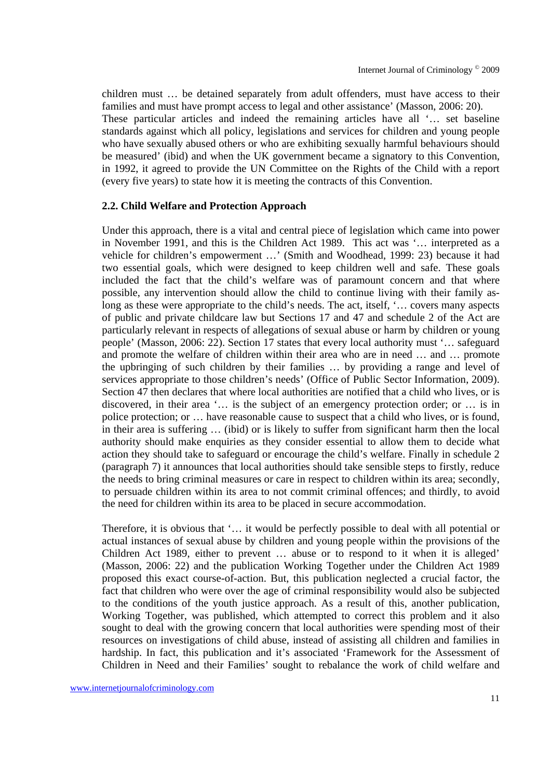children must … be detained separately from adult offenders, must have access to their families and must have prompt access to legal and other assistance' (Masson, 2006: 20). These particular articles and indeed the remaining articles have all '… set baseline standards against which all policy, legislations and services for children and young people who have sexually abused others or who are exhibiting sexually harmful behaviours should be measured' (ibid) and when the UK government became a signatory to this Convention, in 1992, it agreed to provide the UN Committee on the Rights of the Child with a report (every five years) to state how it is meeting the contracts of this Convention.

#### **2.2. Child Welfare and Protection Approach**

Under this approach, there is a vital and central piece of legislation which came into power in November 1991, and this is the Children Act 1989. This act was '… interpreted as a vehicle for children's empowerment …' (Smith and Woodhead, 1999: 23) because it had two essential goals, which were designed to keep children well and safe. These goals included the fact that the child's welfare was of paramount concern and that where possible, any intervention should allow the child to continue living with their family aslong as these were appropriate to the child's needs. The act, itself, '… covers many aspects of public and private childcare law but Sections 17 and 47 and schedule 2 of the Act are particularly relevant in respects of allegations of sexual abuse or harm by children or young people' (Masson, 2006: 22). Section 17 states that every local authority must '… safeguard and promote the welfare of children within their area who are in need … and … promote the upbringing of such children by their families … by providing a range and level of services appropriate to those children's needs' (Office of Public Sector Information, 2009). Section 47 then declares that where local authorities are notified that a child who lives, or is discovered, in their area '… is the subject of an emergency protection order; or … is in police protection; or … have reasonable cause to suspect that a child who lives, or is found, in their area is suffering … (ibid) or is likely to suffer from significant harm then the local authority should make enquiries as they consider essential to allow them to decide what action they should take to safeguard or encourage the child's welfare. Finally in schedule 2 (paragraph 7) it announces that local authorities should take sensible steps to firstly, reduce the needs to bring criminal measures or care in respect to children within its area; secondly, to persuade children within its area to not commit criminal offences; and thirdly, to avoid the need for children within its area to be placed in secure accommodation.

Therefore, it is obvious that '… it would be perfectly possible to deal with all potential or actual instances of sexual abuse by children and young people within the provisions of the Children Act 1989, either to prevent … abuse or to respond to it when it is alleged' (Masson, 2006: 22) and the publication Working Together under the Children Act 1989 proposed this exact course-of-action. But, this publication neglected a crucial factor, the fact that children who were over the age of criminal responsibility would also be subjected to the conditions of the youth justice approach. As a result of this, another publication, Working Together, was published, which attempted to correct this problem and it also sought to deal with the growing concern that local authorities were spending most of their resources on investigations of child abuse, instead of assisting all children and families in hardship. In fact, this publication and it's associated 'Framework for the Assessment of Children in Need and their Families' sought to rebalance the work of child welfare and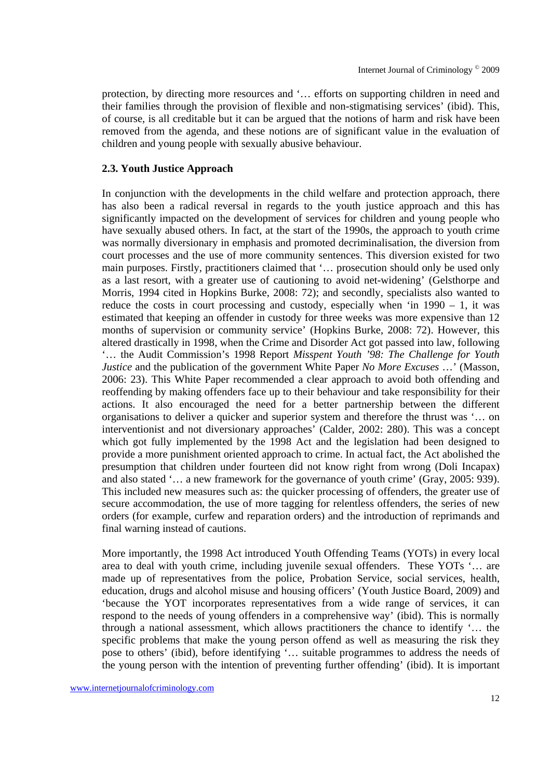protection, by directing more resources and '… efforts on supporting children in need and their families through the provision of flexible and non-stigmatising services' (ibid). This, of course, is all creditable but it can be argued that the notions of harm and risk have been removed from the agenda, and these notions are of significant value in the evaluation of children and young people with sexually abusive behaviour.

#### **2.3. Youth Justice Approach**

In conjunction with the developments in the child welfare and protection approach, there has also been a radical reversal in regards to the youth justice approach and this has significantly impacted on the development of services for children and young people who have sexually abused others. In fact, at the start of the 1990s, the approach to youth crime was normally diversionary in emphasis and promoted decriminalisation, the diversion from court processes and the use of more community sentences. This diversion existed for two main purposes. Firstly, practitioners claimed that '… prosecution should only be used only as a last resort, with a greater use of cautioning to avoid net-widening' (Gelsthorpe and Morris, 1994 cited in Hopkins Burke, 2008: 72); and secondly, specialists also wanted to reduce the costs in court processing and custody, especially when 'in  $1990 - 1$ , it was estimated that keeping an offender in custody for three weeks was more expensive than 12 months of supervision or community service' (Hopkins Burke, 2008: 72). However, this altered drastically in 1998, when the Crime and Disorder Act got passed into law, following '… the Audit Commission's 1998 Report *Misspent Youth '98: The Challenge for Youth Justice* and the publication of the government White Paper *No More Excuses* …' (Masson, 2006: 23). This White Paper recommended a clear approach to avoid both offending and reoffending by making offenders face up to their behaviour and take responsibility for their actions. It also encouraged the need for a better partnership between the different organisations to deliver a quicker and superior system and therefore the thrust was '… on interventionist and not diversionary approaches' (Calder, 2002: 280). This was a concept which got fully implemented by the 1998 Act and the legislation had been designed to provide a more punishment oriented approach to crime. In actual fact, the Act abolished the presumption that children under fourteen did not know right from wrong (Doli Incapax) and also stated '… a new framework for the governance of youth crime' (Gray, 2005: 939). This included new measures such as: the quicker processing of offenders, the greater use of secure accommodation, the use of more tagging for relentless offenders, the series of new orders (for example, curfew and reparation orders) and the introduction of reprimands and final warning instead of cautions.

More importantly, the 1998 Act introduced Youth Offending Teams (YOTs) in every local area to deal with youth crime, including juvenile sexual offenders. These YOTs '… are made up of representatives from the police, Probation Service, social services, health, education, drugs and alcohol misuse and housing officers' (Youth Justice Board, 2009) and 'because the YOT incorporates representatives from a wide range of services, it can respond to the needs of young offenders in a comprehensive way' (ibid). This is normally through a national assessment, which allows practitioners the chance to identify '… the specific problems that make the young person offend as well as measuring the risk they pose to others' (ibid), before identifying '… suitable programmes to address the needs of the young person with the intention of preventing further offending' (ibid). It is important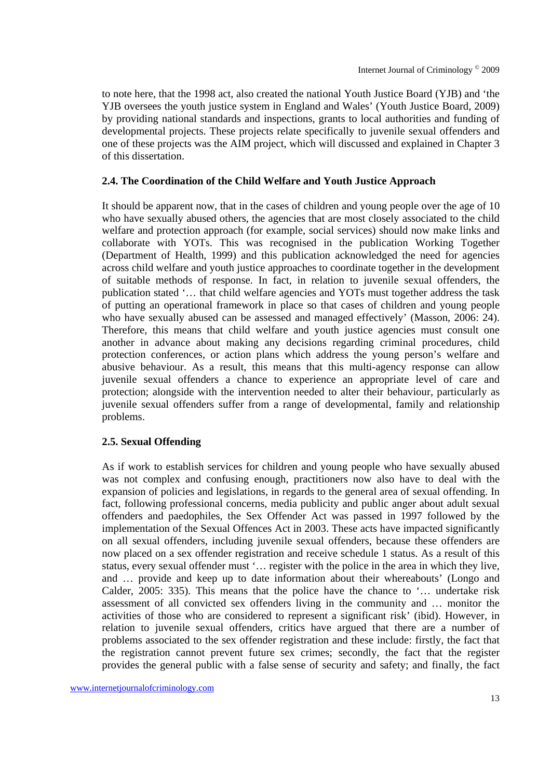to note here, that the 1998 act, also created the national Youth Justice Board (YJB) and 'the YJB oversees the youth justice system in England and Wales' (Youth Justice Board, 2009) by providing national standards and inspections, grants to local authorities and funding of developmental projects. These projects relate specifically to juvenile sexual offenders and one of these projects was the AIM project, which will discussed and explained in Chapter 3 of this dissertation.

## **2.4. The Coordination of the Child Welfare and Youth Justice Approach**

It should be apparent now, that in the cases of children and young people over the age of 10 who have sexually abused others, the agencies that are most closely associated to the child welfare and protection approach (for example, social services) should now make links and collaborate with YOTs. This was recognised in the publication Working Together (Department of Health, 1999) and this publication acknowledged the need for agencies across child welfare and youth justice approaches to coordinate together in the development of suitable methods of response. In fact, in relation to juvenile sexual offenders, the publication stated '… that child welfare agencies and YOTs must together address the task of putting an operational framework in place so that cases of children and young people who have sexually abused can be assessed and managed effectively' (Masson, 2006: 24). Therefore, this means that child welfare and youth justice agencies must consult one another in advance about making any decisions regarding criminal procedures, child protection conferences, or action plans which address the young person's welfare and abusive behaviour. As a result, this means that this multi-agency response can allow juvenile sexual offenders a chance to experience an appropriate level of care and protection; alongside with the intervention needed to alter their behaviour, particularly as juvenile sexual offenders suffer from a range of developmental, family and relationship problems.

## **2.5. Sexual Offending**

As if work to establish services for children and young people who have sexually abused was not complex and confusing enough, practitioners now also have to deal with the expansion of policies and legislations, in regards to the general area of sexual offending. In fact, following professional concerns, media publicity and public anger about adult sexual offenders and paedophiles, the Sex Offender Act was passed in 1997 followed by the implementation of the Sexual Offences Act in 2003. These acts have impacted significantly on all sexual offenders, including juvenile sexual offenders, because these offenders are now placed on a sex offender registration and receive schedule 1 status. As a result of this status, every sexual offender must '… register with the police in the area in which they live, and … provide and keep up to date information about their whereabouts' (Longo and Calder, 2005: 335). This means that the police have the chance to '… undertake risk assessment of all convicted sex offenders living in the community and … monitor the activities of those who are considered to represent a significant risk' (ibid). However, in relation to juvenile sexual offenders, critics have argued that there are a number of problems associated to the sex offender registration and these include: firstly, the fact that the registration cannot prevent future sex crimes; secondly, the fact that the register provides the general public with a false sense of security and safety; and finally, the fact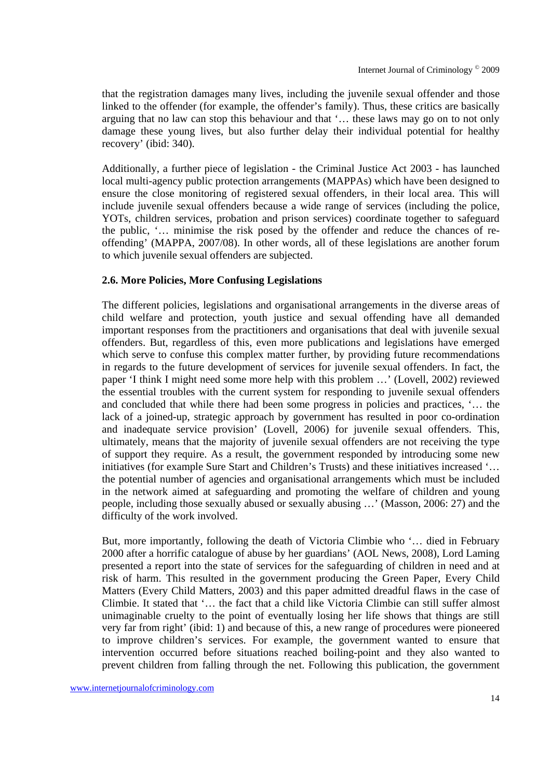that the registration damages many lives, including the juvenile sexual offender and those linked to the offender (for example, the offender's family). Thus, these critics are basically arguing that no law can stop this behaviour and that '… these laws may go on to not only damage these young lives, but also further delay their individual potential for healthy recovery' (ibid: 340).

Additionally, a further piece of legislation - the Criminal Justice Act 2003 - has launched local multi-agency public protection arrangements (MAPPAs) which have been designed to ensure the close monitoring of registered sexual offenders, in their local area. This will include juvenile sexual offenders because a wide range of services (including the police, YOTs, children services, probation and prison services) coordinate together to safeguard the public, '… minimise the risk posed by the offender and reduce the chances of reoffending' (MAPPA, 2007/08). In other words, all of these legislations are another forum to which juvenile sexual offenders are subjected.

# **2.6. More Policies, More Confusing Legislations**

The different policies, legislations and organisational arrangements in the diverse areas of child welfare and protection, youth justice and sexual offending have all demanded important responses from the practitioners and organisations that deal with juvenile sexual offenders. But, regardless of this, even more publications and legislations have emerged which serve to confuse this complex matter further, by providing future recommendations in regards to the future development of services for juvenile sexual offenders. In fact, the paper 'I think I might need some more help with this problem …' (Lovell, 2002) reviewed the essential troubles with the current system for responding to juvenile sexual offenders and concluded that while there had been some progress in policies and practices, '… the lack of a joined-up, strategic approach by government has resulted in poor co-ordination and inadequate service provision' (Lovell, 2006) for juvenile sexual offenders. This, ultimately, means that the majority of juvenile sexual offenders are not receiving the type of support they require. As a result, the government responded by introducing some new initiatives (for example Sure Start and Children's Trusts) and these initiatives increased '… the potential number of agencies and organisational arrangements which must be included in the network aimed at safeguarding and promoting the welfare of children and young people, including those sexually abused or sexually abusing …' (Masson, 2006: 27) and the difficulty of the work involved.

But, more importantly, following the death of Victoria Climbie who '… died in February 2000 after a horrific catalogue of abuse by her guardians' (AOL News, 2008), Lord Laming presented a report into the state of services for the safeguarding of children in need and at risk of harm. This resulted in the government producing the Green Paper, Every Child Matters (Every Child Matters, 2003) and this paper admitted dreadful flaws in the case of Climbie. It stated that '… the fact that a child like Victoria Climbie can still suffer almost unimaginable cruelty to the point of eventually losing her life shows that things are still very far from right' (ibid: 1) and because of this, a new range of procedures were pioneered to improve children's services. For example, the government wanted to ensure that intervention occurred before situations reached boiling-point and they also wanted to prevent children from falling through the net. Following this publication, the government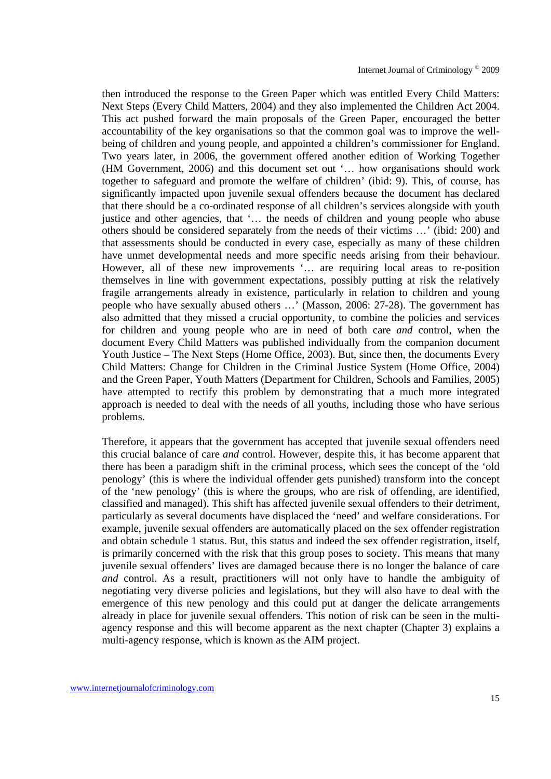then introduced the response to the Green Paper which was entitled Every Child Matters: Next Steps (Every Child Matters, 2004) and they also implemented the Children Act 2004. This act pushed forward the main proposals of the Green Paper, encouraged the better accountability of the key organisations so that the common goal was to improve the wellbeing of children and young people, and appointed a children's commissioner for England. Two years later, in 2006, the government offered another edition of Working Together (HM Government, 2006) and this document set out '… how organisations should work together to safeguard and promote the welfare of children' (ibid: 9). This, of course, has significantly impacted upon juvenile sexual offenders because the document has declared that there should be a co-ordinated response of all children's services alongside with youth justice and other agencies, that '… the needs of children and young people who abuse others should be considered separately from the needs of their victims …' (ibid: 200) and that assessments should be conducted in every case, especially as many of these children have unmet developmental needs and more specific needs arising from their behaviour. However, all of these new improvements '… are requiring local areas to re-position themselves in line with government expectations, possibly putting at risk the relatively fragile arrangements already in existence, particularly in relation to children and young people who have sexually abused others …' (Masson, 2006: 27-28). The government has also admitted that they missed a crucial opportunity, to combine the policies and services for children and young people who are in need of both care *and* control, when the document Every Child Matters was published individually from the companion document Youth Justice – The Next Steps (Home Office, 2003). But, since then, the documents Every Child Matters: Change for Children in the Criminal Justice System (Home Office, 2004) and the Green Paper, Youth Matters (Department for Children, Schools and Families, 2005) have attempted to rectify this problem by demonstrating that a much more integrated approach is needed to deal with the needs of all youths, including those who have serious problems.

Therefore, it appears that the government has accepted that juvenile sexual offenders need this crucial balance of care *and* control. However, despite this, it has become apparent that there has been a paradigm shift in the criminal process, which sees the concept of the 'old penology' (this is where the individual offender gets punished) transform into the concept of the 'new penology' (this is where the groups, who are risk of offending, are identified, classified and managed). This shift has affected juvenile sexual offenders to their detriment, particularly as several documents have displaced the 'need' and welfare considerations. For example, juvenile sexual offenders are automatically placed on the sex offender registration and obtain schedule 1 status. But, this status and indeed the sex offender registration, itself, is primarily concerned with the risk that this group poses to society. This means that many juvenile sexual offenders' lives are damaged because there is no longer the balance of care *and* control. As a result, practitioners will not only have to handle the ambiguity of negotiating very diverse policies and legislations, but they will also have to deal with the emergence of this new penology and this could put at danger the delicate arrangements already in place for juvenile sexual offenders. This notion of risk can be seen in the multiagency response and this will become apparent as the next chapter (Chapter 3) explains a multi-agency response, which is known as the AIM project.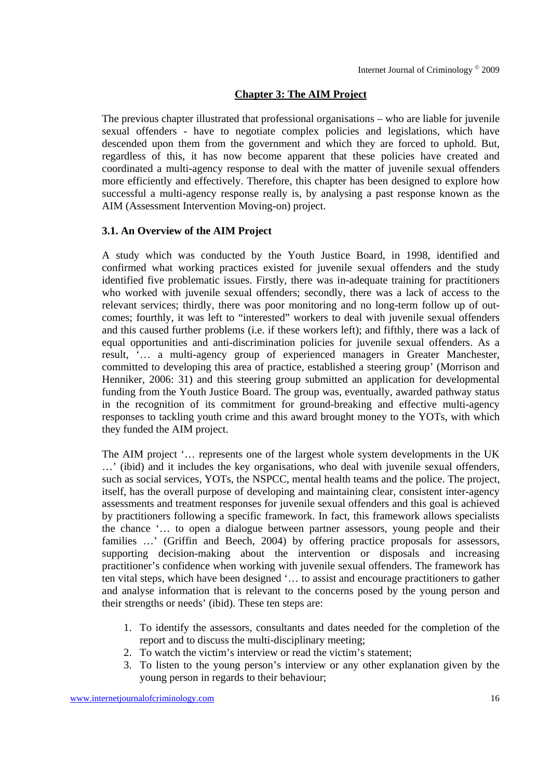# **Chapter 3: The AIM Project**

The previous chapter illustrated that professional organisations – who are liable for juvenile sexual offenders - have to negotiate complex policies and legislations, which have descended upon them from the government and which they are forced to uphold. But, regardless of this, it has now become apparent that these policies have created and coordinated a multi-agency response to deal with the matter of juvenile sexual offenders more efficiently and effectively. Therefore, this chapter has been designed to explore how successful a multi-agency response really is, by analysing a past response known as the AIM (Assessment Intervention Moving-on) project.

## **3.1. An Overview of the AIM Project**

A study which was conducted by the Youth Justice Board, in 1998, identified and confirmed what working practices existed for juvenile sexual offenders and the study identified five problematic issues. Firstly, there was in-adequate training for practitioners who worked with juvenile sexual offenders; secondly, there was a lack of access to the relevant services; thirdly, there was poor monitoring and no long-term follow up of outcomes; fourthly, it was left to "interested" workers to deal with juvenile sexual offenders and this caused further problems (i.e. if these workers left); and fifthly, there was a lack of equal opportunities and anti-discrimination policies for juvenile sexual offenders. As a result, '… a multi-agency group of experienced managers in Greater Manchester, committed to developing this area of practice, established a steering group' (Morrison and Henniker, 2006: 31) and this steering group submitted an application for developmental funding from the Youth Justice Board. The group was, eventually, awarded pathway status in the recognition of its commitment for ground-breaking and effective multi-agency responses to tackling youth crime and this award brought money to the YOTs, with which they funded the AIM project.

The AIM project '… represents one of the largest whole system developments in the UK …' (ibid) and it includes the key organisations, who deal with juvenile sexual offenders, such as social services, YOTs, the NSPCC, mental health teams and the police. The project, itself, has the overall purpose of developing and maintaining clear, consistent inter-agency assessments and treatment responses for juvenile sexual offenders and this goal is achieved by practitioners following a specific framework. In fact, this framework allows specialists the chance '… to open a dialogue between partner assessors, young people and their families ...' (Griffin and Beech, 2004) by offering practice proposals for assessors, supporting decision-making about the intervention or disposals and increasing practitioner's confidence when working with juvenile sexual offenders. The framework has ten vital steps, which have been designed '… to assist and encourage practitioners to gather and analyse information that is relevant to the concerns posed by the young person and their strengths or needs' (ibid). These ten steps are:

- 1. To identify the assessors, consultants and dates needed for the completion of the report and to discuss the multi-disciplinary meeting;
- 2. To watch the victim's interview or read the victim's statement;
- 3. To listen to the young person's interview or any other explanation given by the young person in regards to their behaviour;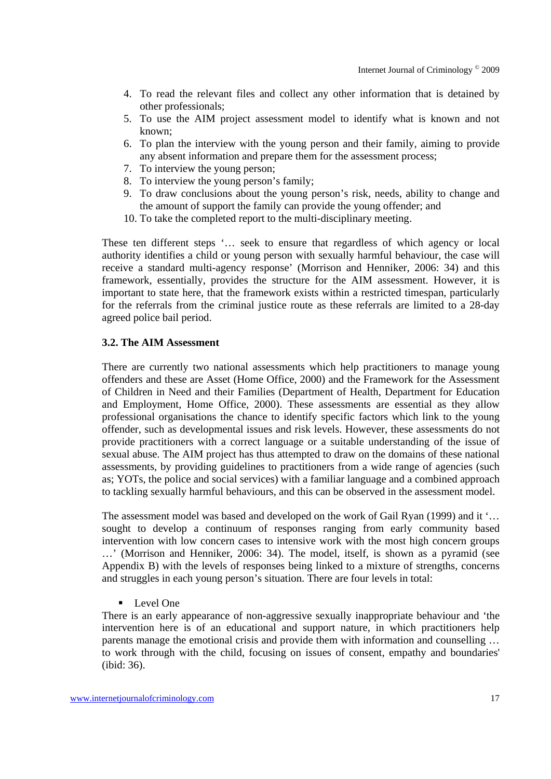- 4. To read the relevant files and collect any other information that is detained by other professionals;
- 5. To use the AIM project assessment model to identify what is known and not known;
- 6. To plan the interview with the young person and their family, aiming to provide any absent information and prepare them for the assessment process;
- 7. To interview the young person;
- 8. To interview the young person's family;
- 9. To draw conclusions about the young person's risk, needs, ability to change and the amount of support the family can provide the young offender; and
- 10. To take the completed report to the multi-disciplinary meeting.

These ten different steps '… seek to ensure that regardless of which agency or local authority identifies a child or young person with sexually harmful behaviour, the case will receive a standard multi-agency response' (Morrison and Henniker, 2006: 34) and this framework, essentially, provides the structure for the AIM assessment. However, it is important to state here, that the framework exists within a restricted timespan, particularly for the referrals from the criminal justice route as these referrals are limited to a 28-day agreed police bail period.

#### **3.2. The AIM Assessment**

There are currently two national assessments which help practitioners to manage young offenders and these are Asset (Home Office, 2000) and the Framework for the Assessment of Children in Need and their Families (Department of Health, Department for Education and Employment, Home Office, 2000). These assessments are essential as they allow professional organisations the chance to identify specific factors which link to the young offender, such as developmental issues and risk levels. However, these assessments do not provide practitioners with a correct language or a suitable understanding of the issue of sexual abuse. The AIM project has thus attempted to draw on the domains of these national assessments, by providing guidelines to practitioners from a wide range of agencies (such as; YOTs, the police and social services) with a familiar language and a combined approach to tackling sexually harmful behaviours, and this can be observed in the assessment model.

The assessment model was based and developed on the work of Gail Ryan (1999) and it '… sought to develop a continuum of responses ranging from early community based intervention with low concern cases to intensive work with the most high concern groups …' (Morrison and Henniker, 2006: 34). The model, itself, is shown as a pyramid (see Appendix B) with the levels of responses being linked to a mixture of strengths, concerns and struggles in each young person's situation. There are four levels in total:

**Level One** 

There is an early appearance of non-aggressive sexually inappropriate behaviour and 'the intervention here is of an educational and support nature, in which practitioners help parents manage the emotional crisis and provide them with information and counselling … to work through with the child, focusing on issues of consent, empathy and boundaries' (ibid: 36).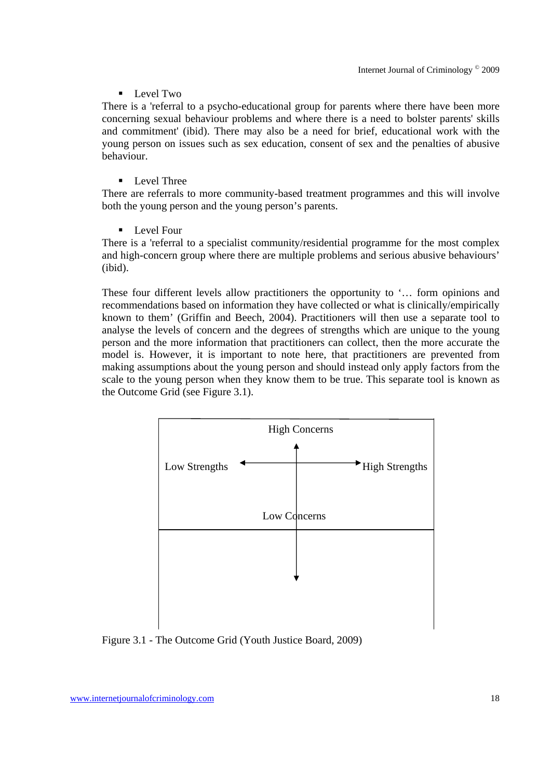## $\blacksquare$  Level Two

There is a 'referral to a psycho-educational group for parents where there have been more concerning sexual behaviour problems and where there is a need to bolster parents' skills and commitment' (ibid). There may also be a need for brief, educational work with the young person on issues such as sex education, consent of sex and the penalties of abusive behaviour.

## **Level Three**

There are referrals to more community-based treatment programmes and this will involve both the young person and the young person's parents.

**Level Four** 

There is a 'referral to a specialist community/residential programme for the most complex and high-concern group where there are multiple problems and serious abusive behaviours' (ibid).

These four different levels allow practitioners the opportunity to '… form opinions and recommendations based on information they have collected or what is clinically/empirically known to them' (Griffin and Beech, 2004). Practitioners will then use a separate tool to analyse the levels of concern and the degrees of strengths which are unique to the young person and the more information that practitioners can collect, then the more accurate the model is. However, it is important to note here, that practitioners are prevented from making assumptions about the young person and should instead only apply factors from the scale to the young person when they know them to be true. This separate tool is known as the Outcome Grid (see Figure 3.1).



Figure 3.1 - The Outcome Grid (Youth Justice Board, 2009)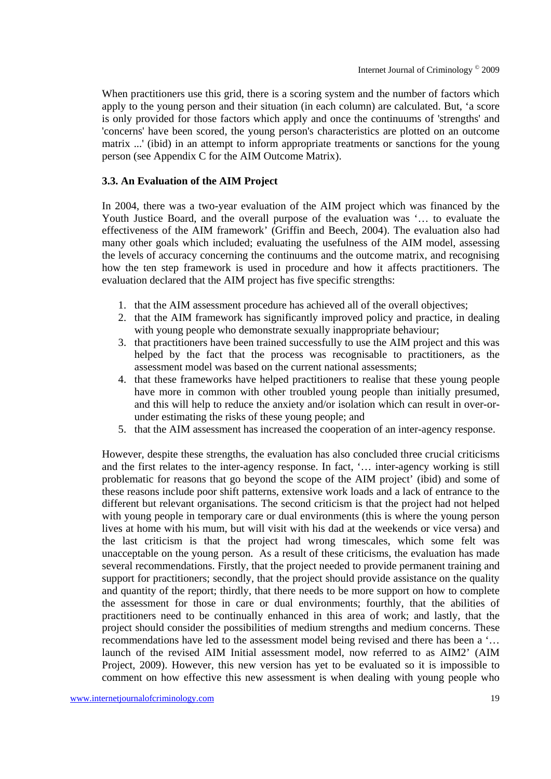When practitioners use this grid, there is a scoring system and the number of factors which apply to the young person and their situation (in each column) are calculated. But, 'a score is only provided for those factors which apply and once the continuums of 'strengths' and 'concerns' have been scored, the young person's characteristics are plotted on an outcome matrix ...' (ibid) in an attempt to inform appropriate treatments or sanctions for the young person (see Appendix C for the AIM Outcome Matrix).

# **3.3. An Evaluation of the AIM Project**

In 2004, there was a two-year evaluation of the AIM project which was financed by the Youth Justice Board, and the overall purpose of the evaluation was '… to evaluate the effectiveness of the AIM framework' (Griffin and Beech, 2004). The evaluation also had many other goals which included; evaluating the usefulness of the AIM model, assessing the levels of accuracy concerning the continuums and the outcome matrix, and recognising how the ten step framework is used in procedure and how it affects practitioners. The evaluation declared that the AIM project has five specific strengths:

- 1. that the AIM assessment procedure has achieved all of the overall objectives;
- 2. that the AIM framework has significantly improved policy and practice, in dealing with young people who demonstrate sexually inappropriate behaviour;
- 3. that practitioners have been trained successfully to use the AIM project and this was helped by the fact that the process was recognisable to practitioners, as the assessment model was based on the current national assessments;
- 4. that these frameworks have helped practitioners to realise that these young people have more in common with other troubled young people than initially presumed, and this will help to reduce the anxiety and/or isolation which can result in over-orunder estimating the risks of these young people; and
- 5. that the AIM assessment has increased the cooperation of an inter-agency response.

However, despite these strengths, the evaluation has also concluded three crucial criticisms and the first relates to the inter-agency response. In fact, '… inter-agency working is still problematic for reasons that go beyond the scope of the AIM project' (ibid) and some of these reasons include poor shift patterns, extensive work loads and a lack of entrance to the different but relevant organisations. The second criticism is that the project had not helped with young people in temporary care or dual environments (this is where the young person lives at home with his mum, but will visit with his dad at the weekends or vice versa) and the last criticism is that the project had wrong timescales, which some felt was unacceptable on the young person. As a result of these criticisms, the evaluation has made several recommendations. Firstly, that the project needed to provide permanent training and support for practitioners; secondly, that the project should provide assistance on the quality and quantity of the report; thirdly, that there needs to be more support on how to complete the assessment for those in care or dual environments; fourthly, that the abilities of practitioners need to be continually enhanced in this area of work; and lastly, that the project should consider the possibilities of medium strengths and medium concerns. These recommendations have led to the assessment model being revised and there has been a '… launch of the revised AIM Initial assessment model, now referred to as AIM2' (AIM Project, 2009). However, this new version has yet to be evaluated so it is impossible to comment on how effective this new assessment is when dealing with young people who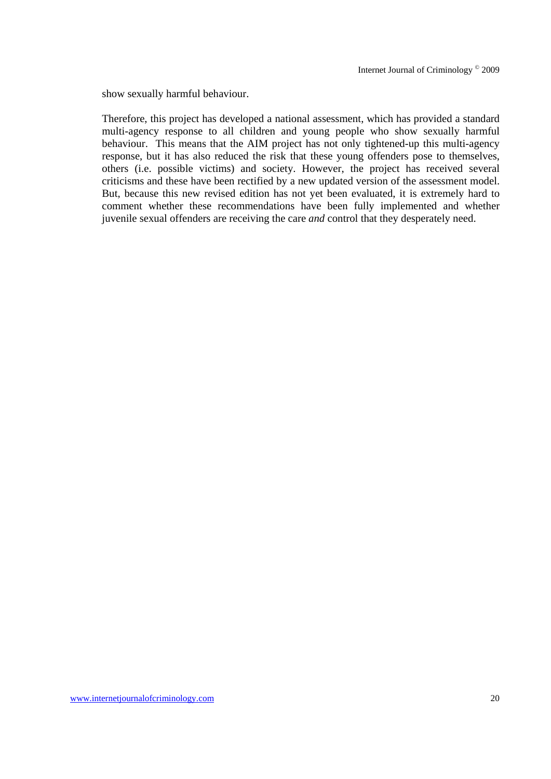show sexually harmful behaviour.

Therefore, this project has developed a national assessment, which has provided a standard multi-agency response to all children and young people who show sexually harmful behaviour. This means that the AIM project has not only tightened-up this multi-agency response, but it has also reduced the risk that these young offenders pose to themselves, others (i.e. possible victims) and society. However, the project has received several criticisms and these have been rectified by a new updated version of the assessment model. But, because this new revised edition has not yet been evaluated, it is extremely hard to comment whether these recommendations have been fully implemented and whether juvenile sexual offenders are receiving the care *and* control that they desperately need.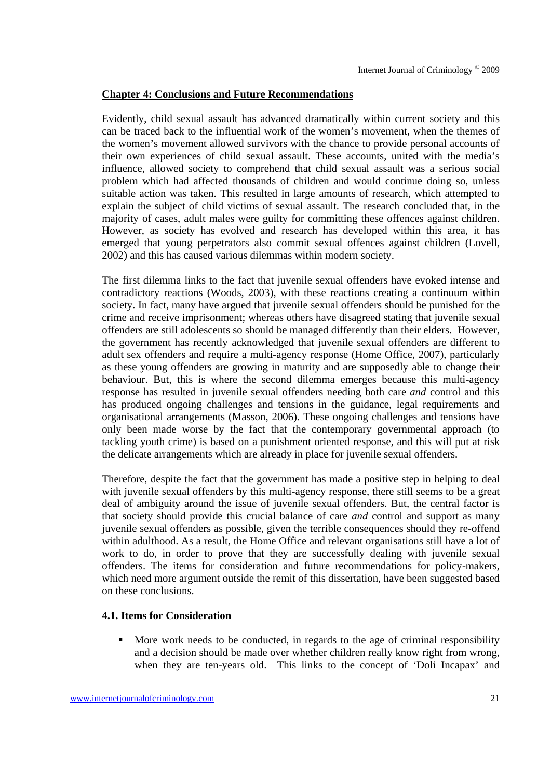## **Chapter 4: Conclusions and Future Recommendations**

Evidently, child sexual assault has advanced dramatically within current society and this can be traced back to the influential work of the women's movement, when the themes of the women's movement allowed survivors with the chance to provide personal accounts of their own experiences of child sexual assault. These accounts, united with the media's influence, allowed society to comprehend that child sexual assault was a serious social problem which had affected thousands of children and would continue doing so, unless suitable action was taken. This resulted in large amounts of research, which attempted to explain the subject of child victims of sexual assault. The research concluded that, in the majority of cases, adult males were guilty for committing these offences against children. However, as society has evolved and research has developed within this area, it has emerged that young perpetrators also commit sexual offences against children (Lovell, 2002) and this has caused various dilemmas within modern society.

The first dilemma links to the fact that juvenile sexual offenders have evoked intense and contradictory reactions (Woods, 2003), with these reactions creating a continuum within society. In fact, many have argued that juvenile sexual offenders should be punished for the crime and receive imprisonment; whereas others have disagreed stating that juvenile sexual offenders are still adolescents so should be managed differently than their elders. However, the government has recently acknowledged that juvenile sexual offenders are different to adult sex offenders and require a multi-agency response (Home Office, 2007), particularly as these young offenders are growing in maturity and are supposedly able to change their behaviour. But, this is where the second dilemma emerges because this multi-agency response has resulted in juvenile sexual offenders needing both care *and* control and this has produced ongoing challenges and tensions in the guidance, legal requirements and organisational arrangements (Masson, 2006). These ongoing challenges and tensions have only been made worse by the fact that the contemporary governmental approach (to tackling youth crime) is based on a punishment oriented response, and this will put at risk the delicate arrangements which are already in place for juvenile sexual offenders.

Therefore, despite the fact that the government has made a positive step in helping to deal with juvenile sexual offenders by this multi-agency response, there still seems to be a great deal of ambiguity around the issue of juvenile sexual offenders. But, the central factor is that society should provide this crucial balance of care *and* control and support as many juvenile sexual offenders as possible, given the terrible consequences should they re-offend within adulthood. As a result, the Home Office and relevant organisations still have a lot of work to do, in order to prove that they are successfully dealing with juvenile sexual offenders. The items for consideration and future recommendations for policy-makers, which need more argument outside the remit of this dissertation, have been suggested based on these conclusions.

## **4.1. Items for Consideration**

 More work needs to be conducted, in regards to the age of criminal responsibility and a decision should be made over whether children really know right from wrong, when they are ten-years old. This links to the concept of 'Doli Incapax' and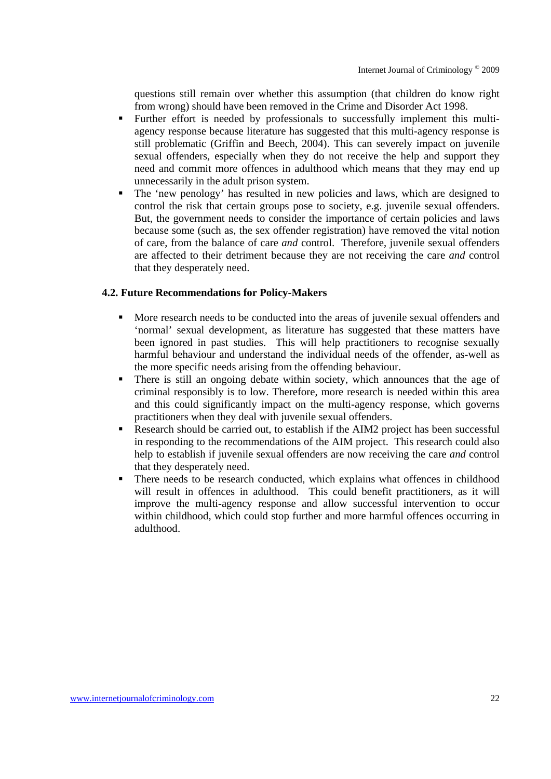questions still remain over whether this assumption (that children do know right from wrong) should have been removed in the Crime and Disorder Act 1998.

- Further effort is needed by professionals to successfully implement this multiagency response because literature has suggested that this multi-agency response is still problematic (Griffin and Beech, 2004). This can severely impact on juvenile sexual offenders, especially when they do not receive the help and support they need and commit more offences in adulthood which means that they may end up unnecessarily in the adult prison system.
- The 'new penology' has resulted in new policies and laws, which are designed to control the risk that certain groups pose to society, e.g. juvenile sexual offenders. But, the government needs to consider the importance of certain policies and laws because some (such as, the sex offender registration) have removed the vital notion of care, from the balance of care *and* control. Therefore, juvenile sexual offenders are affected to their detriment because they are not receiving the care *and* control that they desperately need.

## **4.2. Future Recommendations for Policy-Makers**

- More research needs to be conducted into the areas of juvenile sexual offenders and 'normal' sexual development, as literature has suggested that these matters have been ignored in past studies. This will help practitioners to recognise sexually harmful behaviour and understand the individual needs of the offender, as-well as the more specific needs arising from the offending behaviour.
- There is still an ongoing debate within society, which announces that the age of criminal responsibly is to low. Therefore, more research is needed within this area and this could significantly impact on the multi-agency response, which governs practitioners when they deal with juvenile sexual offenders.
- Research should be carried out, to establish if the AIM2 project has been successful in responding to the recommendations of the AIM project. This research could also help to establish if juvenile sexual offenders are now receiving the care *and* control that they desperately need.
- There needs to be research conducted, which explains what offences in childhood will result in offences in adulthood. This could benefit practitioners, as it will improve the multi-agency response and allow successful intervention to occur within childhood, which could stop further and more harmful offences occurring in adulthood.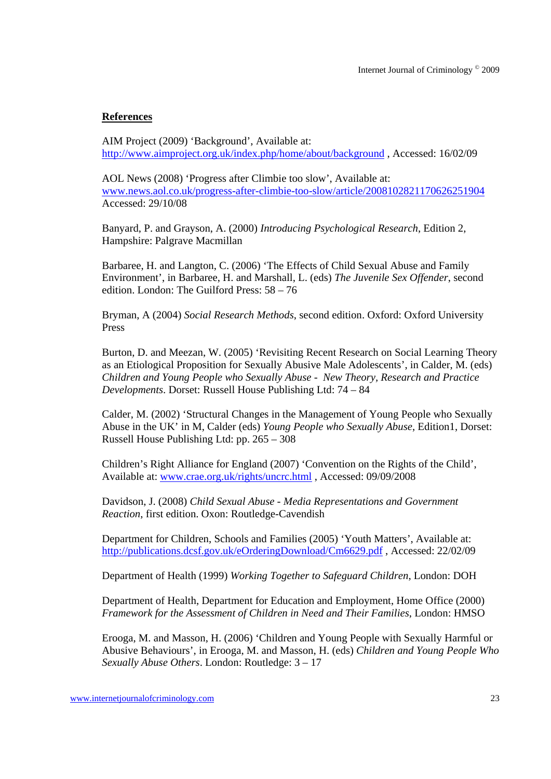# **References**

AIM Project (2009) 'Background', Available at: http://www.aimproject.org.uk/index.php/home/about/background , Accessed: 16/02/09

AOL News (2008) 'Progress after Climbie too slow', Available at: www.news.aol.co.uk/progress-after-climbie-too-slow/article/2008102821170626251904 Accessed: 29/10/08

Banyard, P. and Grayson, A. (2000) *Introducing Psychological Research*, Edition 2, Hampshire: Palgrave Macmillan

Barbaree, H. and Langton, C. (2006) 'The Effects of Child Sexual Abuse and Family Environment', in Barbaree, H. and Marshall, L. (eds) *The Juvenile Sex Offender*, second edition. London: The Guilford Press: 58 – 76

Bryman, A (2004) *Social Research Methods*, second edition. Oxford: Oxford University Press

Burton, D. and Meezan, W. (2005) 'Revisiting Recent Research on Social Learning Theory as an Etiological Proposition for Sexually Abusive Male Adolescents', in Calder, M. (eds) *Children and Young People who Sexually Abuse - New Theory, Research and Practice Developments*. Dorset: Russell House Publishing Ltd: 74 – 84

Calder, M. (2002) 'Structural Changes in the Management of Young People who Sexually Abuse in the UK' in M, Calder (eds) *Young People who Sexually Abuse*, Edition1, Dorset: Russell House Publishing Ltd: pp. 265 – 308

Children's Right Alliance for England (2007) 'Convention on the Rights of the Child', Available at: www.crae.org.uk/rights/uncrc.html , Accessed: 09/09/2008

Davidson, J. (2008) *Child Sexual Abuse - Media Representations and Government Reaction*, first edition. Oxon: Routledge-Cavendish

Department for Children, Schools and Families (2005) 'Youth Matters', Available at: http://publications.dcsf.gov.uk/eOrderingDownload/Cm6629.pdf , Accessed: 22/02/09

Department of Health (1999) *Working Together to Safeguard Children*, London: DOH

Department of Health, Department for Education and Employment, Home Office (2000) *Framework for the Assessment of Children in Need and Their Families*, London: HMSO

Erooga, M. and Masson, H. (2006) 'Children and Young People with Sexually Harmful or Abusive Behaviours', in Erooga, M. and Masson, H. (eds) *Children and Young People Who Sexually Abuse Others*. London: Routledge: 3 – 17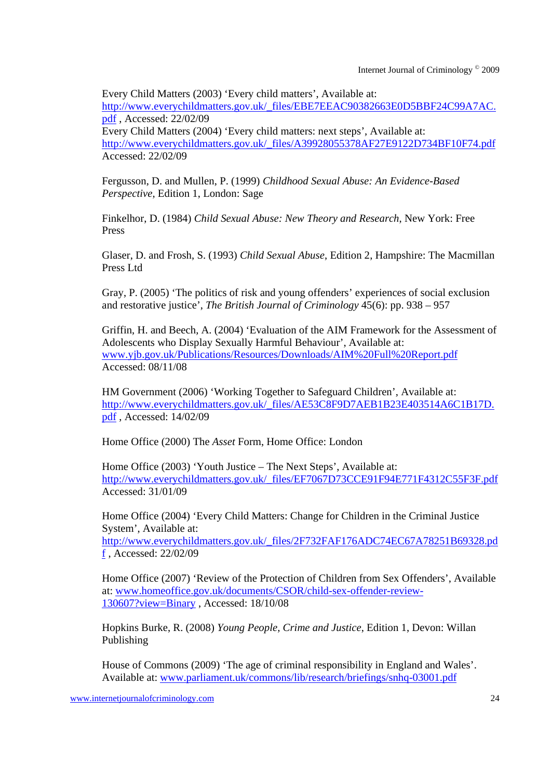Every Child Matters (2003) 'Every child matters', Available at: http://www.everychildmatters.gov.uk/\_files/EBE7EEAC90382663E0D5BBF24C99A7AC. pdf , Accessed: 22/02/09 Every Child Matters (2004) 'Every child matters: next steps', Available at: http://www.everychildmatters.gov.uk/\_files/A39928055378AF27E9122D734BF10F74.pdf Accessed: 22/02/09

Fergusson, D. and Mullen, P. (1999) *Childhood Sexual Abuse: An Evidence-Based Perspective*, Edition 1, London: Sage

Finkelhor, D. (1984) *Child Sexual Abuse: New Theory and Research*, New York: Free Press

Glaser, D. and Frosh, S. (1993) *Child Sexual Abuse*, Edition 2, Hampshire: The Macmillan Press Ltd

Gray, P. (2005) 'The politics of risk and young offenders' experiences of social exclusion and restorative justice', *The British Journal of Criminology* 45(6): pp. 938 – 957

Griffin, H. and Beech, A. (2004) 'Evaluation of the AIM Framework for the Assessment of Adolescents who Display Sexually Harmful Behaviour', Available at: www.yjb.gov.uk/Publications/Resources/Downloads/AIM%20Full%20Report.pdf Accessed: 08/11/08

HM Government (2006) 'Working Together to Safeguard Children', Available at: http://www.everychildmatters.gov.uk/\_files/AE53C8F9D7AEB1B23E403514A6C1B17D. pdf , Accessed: 14/02/09

Home Office (2000) The *Asset* Form, Home Office: London

Home Office (2003) 'Youth Justice – The Next Steps', Available at: http://www.everychildmatters.gov.uk/\_files/EF7067D73CCE91F94E771F4312C55F3F.pdf Accessed: 31/01/09

Home Office (2004) 'Every Child Matters: Change for Children in the Criminal Justice System', Available at: http://www.everychildmatters.gov.uk/\_files/2F732FAF176ADC74EC67A78251B69328.pd

f , Accessed: 22/02/09

Home Office (2007) 'Review of the Protection of Children from Sex Offenders', Available at: www.homeoffice.gov.uk/documents/CSOR/child-sex-offender-review-130607?view=Binary , Accessed: 18/10/08

Hopkins Burke, R. (2008) *Young People, Crime and Justice*, Edition 1, Devon: Willan Publishing

House of Commons (2009) 'The age of criminal responsibility in England and Wales'. Available at: www.parliament.uk/commons/lib/research/briefings/snhq-03001.pdf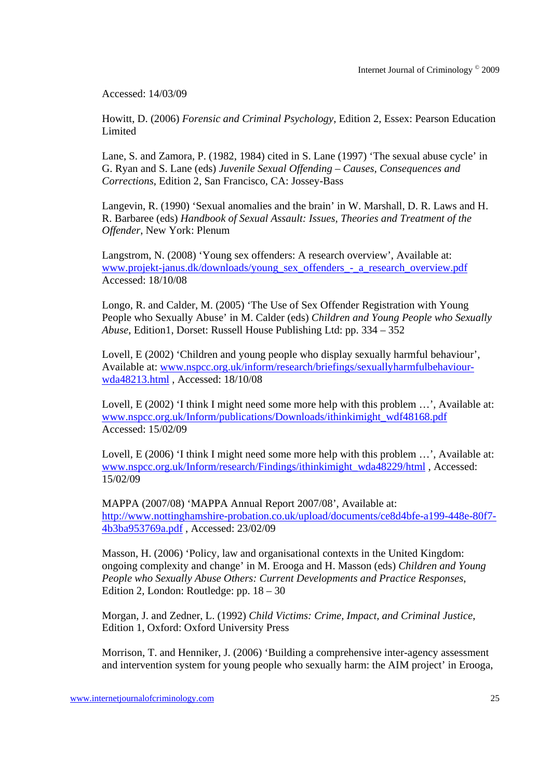Accessed: 14/03/09

Howitt, D. (2006) *Forensic and Criminal Psychology*, Edition 2, Essex: Pearson Education **Limited** 

Lane, S. and Zamora, P. (1982, 1984) cited in S. Lane (1997) 'The sexual abuse cycle' in G. Ryan and S. Lane (eds) *Juvenile Sexual Offending – Causes, Consequences and Corrections*, Edition 2, San Francisco, CA: Jossey-Bass

Langevin, R. (1990) 'Sexual anomalies and the brain' in W. Marshall, D. R. Laws and H. R. Barbaree (eds) *Handbook of Sexual Assault: Issues, Theories and Treatment of the Offender*, New York: Plenum

Langstrom, N. (2008) 'Young sex offenders: A research overview', Available at: www.projekt-janus.dk/downloads/young\_sex\_offenders\_-\_a\_research\_overview.pdf Accessed: 18/10/08

Longo, R. and Calder, M. (2005) 'The Use of Sex Offender Registration with Young People who Sexually Abuse' in M. Calder (eds) *Children and Young People who Sexually Abuse*, Edition1, Dorset: Russell House Publishing Ltd: pp. 334 – 352

Lovell, E (2002) 'Children and young people who display sexually harmful behaviour', Available at: www.nspcc.org.uk/inform/research/briefings/sexuallyharmfulbehaviourwda48213.html , Accessed: 18/10/08

Lovell, E (2002) 'I think I might need some more help with this problem ...', Available at: www.nspcc.org.uk/Inform/publications/Downloads/ithinkimight\_wdf48168.pdf Accessed: 15/02/09

Lovell, E (2006) 'I think I might need some more help with this problem ...', Available at: www.nspcc.org.uk/Inform/research/Findings/ithinkimight\_wda48229/html, Accessed: 15/02/09

MAPPA (2007/08) 'MAPPA Annual Report 2007/08', Available at: http://www.nottinghamshire-probation.co.uk/upload/documents/ce8d4bfe-a199-448e-80f7- 4b3ba953769a.pdf , Accessed: 23/02/09

Masson, H. (2006) 'Policy, law and organisational contexts in the United Kingdom: ongoing complexity and change' in M. Erooga and H. Masson (eds) *Children and Young People who Sexually Abuse Others: Current Developments and Practice Responses*, Edition 2, London: Routledge: pp. 18 – 30

Morgan, J. and Zedner, L. (1992) *Child Victims: Crime, Impact, and Criminal Justice*, Edition 1, Oxford: Oxford University Press

Morrison, T. and Henniker, J. (2006) 'Building a comprehensive inter-agency assessment and intervention system for young people who sexually harm: the AIM project' in Erooga,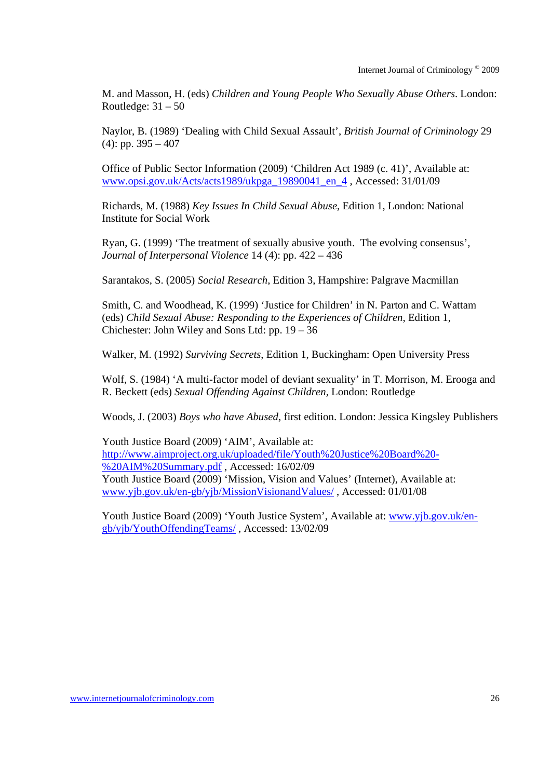M. and Masson, H. (eds) *Children and Young People Who Sexually Abuse Others*. London: Routledge:  $31 - 50$ 

Naylor, B. (1989) 'Dealing with Child Sexual Assault', *British Journal of Criminology* 29 (4): pp.  $395 - 407$ 

Office of Public Sector Information (2009) 'Children Act 1989 (c. 41)', Available at: www.opsi.gov.uk/Acts/acts1989/ukpga\_19890041\_en\_4 , Accessed: 31/01/09

Richards, M. (1988) *Key Issues In Child Sexual Abuse*, Edition 1, London: National Institute for Social Work

Ryan, G. (1999) 'The treatment of sexually abusive youth. The evolving consensus', *Journal of Interpersonal Violence* 14 (4): pp. 422 – 436

Sarantakos, S. (2005) *Social Research*, Edition 3, Hampshire: Palgrave Macmillan

Smith, C. and Woodhead, K. (1999) 'Justice for Children' in N. Parton and C. Wattam (eds) *Child Sexual Abuse: Responding to the Experiences of Children*, Edition 1, Chichester: John Wiley and Sons Ltd: pp. 19 – 36

Walker, M. (1992) *Surviving Secrets*, Edition 1, Buckingham: Open University Press

Wolf, S. (1984) 'A multi-factor model of deviant sexuality' in T. Morrison, M. Erooga and R. Beckett (eds) *Sexual Offending Against Children*, London: Routledge

Woods, J. (2003) *Boys who have Abused*, first edition. London: Jessica Kingsley Publishers

Youth Justice Board (2009) 'AIM', Available at: http://www.aimproject.org.uk/uploaded/file/Youth%20Justice%20Board%20- %20AIM%20Summary.pdf , Accessed: 16/02/09 Youth Justice Board (2009) 'Mission, Vision and Values' (Internet), Available at: www.yjb.gov.uk/en-gb/yjb/MissionVisionandValues/ , Accessed: 01/01/08

Youth Justice Board (2009) 'Youth Justice System', Available at: www.yjb.gov.uk/engb/yjb/YouthOffendingTeams/ , Accessed: 13/02/09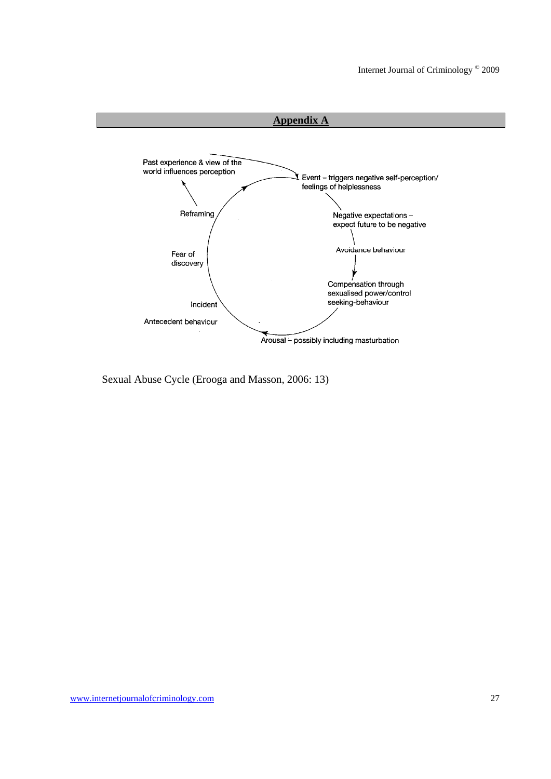

Sexual Abuse Cycle (Erooga and Masson, 2006: 13)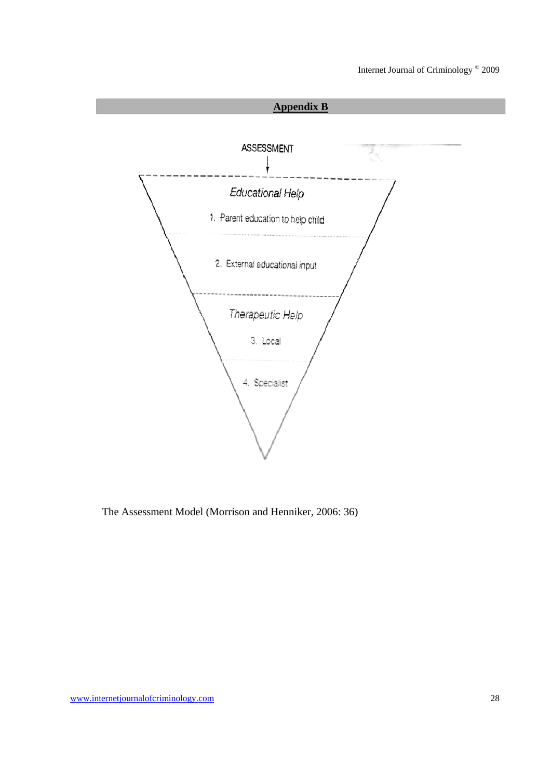

The Assessment Model (Morrison and Henniker, 2006: 36)